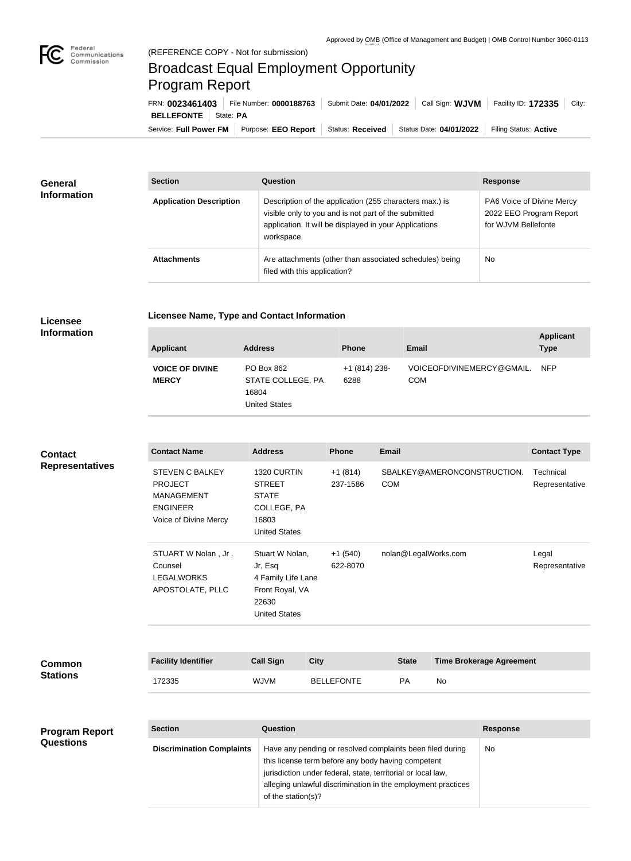

## Broadcast Equal Employment Opportunity Program Report

Service: Full Power FM Purpose: EEO Report | Status: Received | Status Date: 04/01/2022 | Filing Status: Active **BELLEFONTE** | State: PA FRN: **0023461403** File Number: **0000188763** Submit Date: **04/01/2022** Call Sign: **WJVM** Facility ID: **172335** City:

| <b>General</b><br><b>Information</b> | <b>Section</b>                 | Question                                                                                                                                                                                | <b>Response</b>                                                             |
|--------------------------------------|--------------------------------|-----------------------------------------------------------------------------------------------------------------------------------------------------------------------------------------|-----------------------------------------------------------------------------|
|                                      | <b>Application Description</b> | Description of the application (255 characters max.) is<br>visible only to you and is not part of the submitted<br>application. It will be displayed in your Applications<br>workspace. | PA6 Voice of Divine Mercy<br>2022 EEO Program Report<br>for WJVM Bellefonte |
|                                      | <b>Attachments</b>             | Are attachments (other than associated schedules) being<br>filed with this application?                                                                                                 | <b>No</b>                                                                   |

## **Licensee Information**

**Questions**

**Licensee Name, Type and Contact Information**

| <b>Applicant</b>                       | <b>Address</b>                                                   | <b>Phone</b>          | Email                            | <b>Applicant</b><br><b>Type</b> |
|----------------------------------------|------------------------------------------------------------------|-----------------------|----------------------------------|---------------------------------|
| <b>VOICE OF DIVINE</b><br><b>MERCY</b> | PO Box 862<br>STATE COLLEGE, PA<br>16804<br><b>United States</b> | $+1(814)238-$<br>6288 | VOICEOFDIVINEMERCY@GMAIL.<br>COM | <b>NFP</b>                      |

## **Contact Name Address Phone Email Contact Type** STEVEN C BALKEY PROJECT MANAGEMENT ENGINEER Voice of Divine Mercy 1320 CURTIN STREET STATE COLLEGE, PA 16803 United States +1 (814) 237-1586 SBALKEY@AMERONCONSTRUCTION. COM Technical Representative STUART W Nolan , Jr . Counsel LEGALWORKS APOSTOLATE, PLLC Stuart W Nolan, Jr, Esq 4 Family Life Lane Front Royal, VA 22630 United States +1 (540) 622-8070 nolan@LegalWorks.com Legal Representative **Facility Identifier Call Sign City State Time Brokerage Agreement** 172335 WJVM BELLEFONTE PA No **Section Question Response Program Repo Common Stations Contact Representatives**

| ٠rt | <b>Section</b>                   | Question                                                                                                                                                                                                                                                              | <b>Response</b> |
|-----|----------------------------------|-----------------------------------------------------------------------------------------------------------------------------------------------------------------------------------------------------------------------------------------------------------------------|-----------------|
|     | <b>Discrimination Complaints</b> | Have any pending or resolved complaints been filed during<br>this license term before any body having competent<br>jurisdiction under federal, state, territorial or local law,<br>alleging unlawful discrimination in the employment practices<br>of the station(s)? | No              |